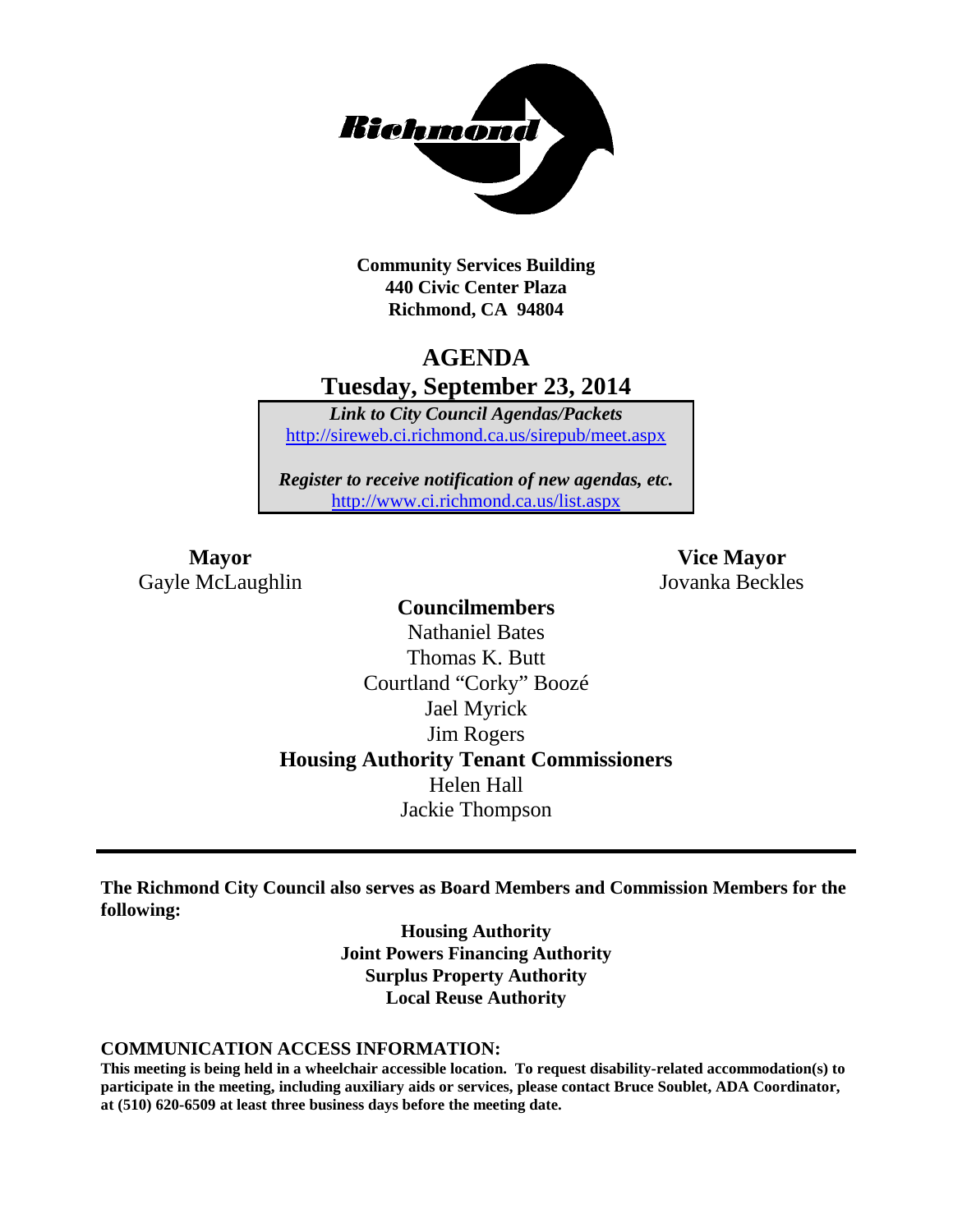

**Community Services Building 440 Civic Center Plaza Richmond, CA 94804**

### **AGENDA Tuesday, September 23, 2014**

*Link to City Council Agendas/Packets* <http://sireweb.ci.richmond.ca.us/sirepub/meet.aspx>

*Register to receive notification of new agendas, etc.* <http://www.ci.richmond.ca.us/list.aspx>

Gayle McLaughlin Jovanka Beckles

**Mayor Vice Mayor**

**Councilmembers** Nathaniel Bates Thomas K. Butt Courtland "Corky" Boozé Jael Myrick Jim Rogers **Housing Authority Tenant Commissioners** Helen Hall Jackie Thompson

**The Richmond City Council also serves as Board Members and Commission Members for the following:**

> **Housing Authority Joint Powers Financing Authority Surplus Property Authority Local Reuse Authority**

#### **COMMUNICATION ACCESS INFORMATION:**

**This meeting is being held in a wheelchair accessible location. To request disability-related accommodation(s) to participate in the meeting, including auxiliary aids or services, please contact Bruce Soublet, ADA Coordinator, at (510) 620-6509 at least three business days before the meeting date.**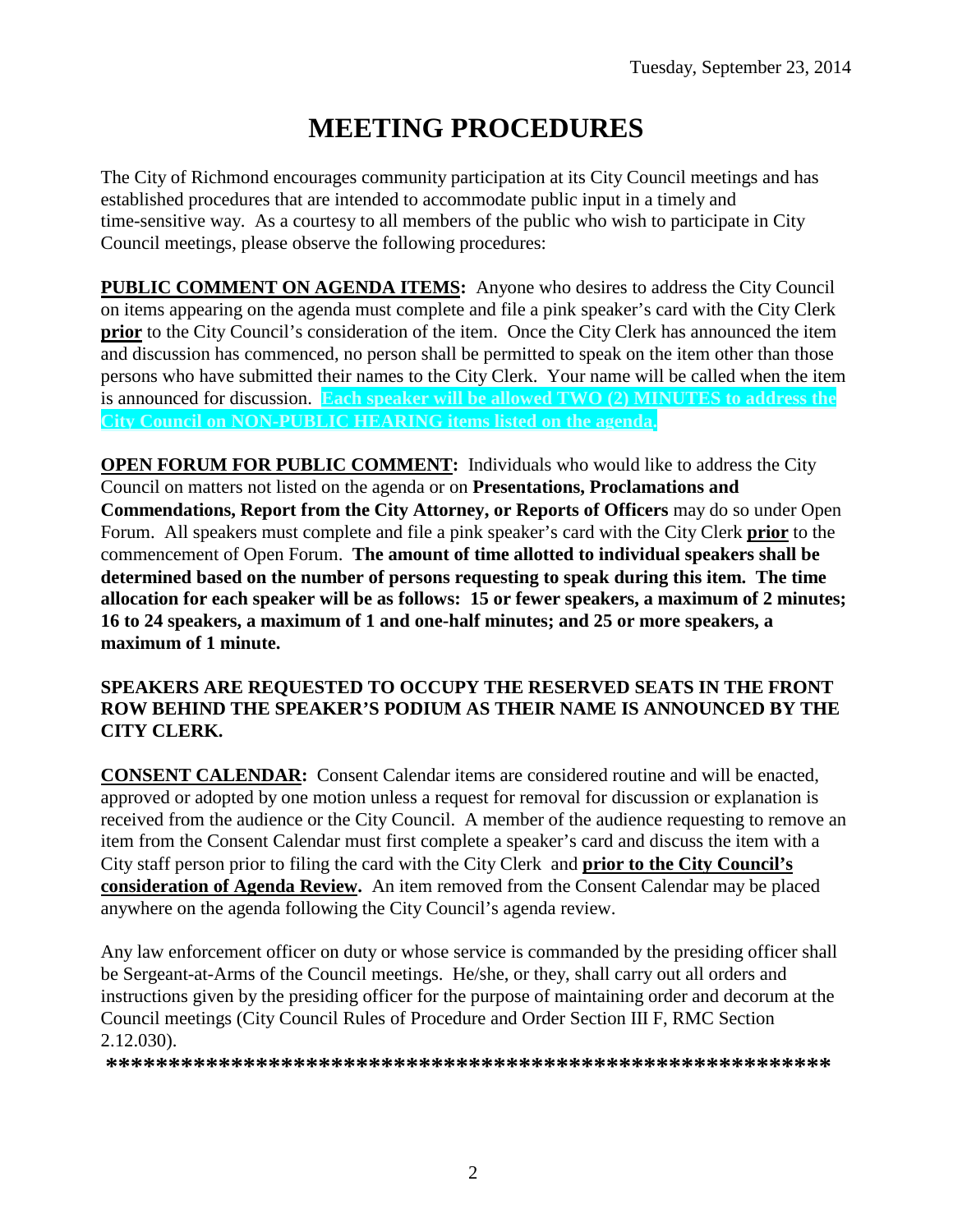# **MEETING PROCEDURES**

The City of Richmond encourages community participation at its City Council meetings and has established procedures that are intended to accommodate public input in a timely and time-sensitive way. As a courtesy to all members of the public who wish to participate in City Council meetings, please observe the following procedures:

**PUBLIC COMMENT ON AGENDA ITEMS:** Anyone who desires to address the City Council on items appearing on the agenda must complete and file a pink speaker's card with the City Clerk **prior** to the City Council's consideration of the item. Once the City Clerk has announced the item and discussion has commenced, no person shall be permitted to speak on the item other than those persons who have submitted their names to the City Clerk. Your name will be called when the item is announced for discussion. **Each speaker will be allowed TWO (2) MINUTES to address the City Council on NON-PUBLIC HEARING items listed on the agenda.**

**OPEN FORUM FOR PUBLIC COMMENT:** Individuals who would like to address the City Council on matters not listed on the agenda or on **Presentations, Proclamations and Commendations, Report from the City Attorney, or Reports of Officers** may do so under Open Forum. All speakers must complete and file a pink speaker's card with the City Clerk **prior** to the commencement of Open Forum. **The amount of time allotted to individual speakers shall be determined based on the number of persons requesting to speak during this item. The time allocation for each speaker will be as follows: 15 or fewer speakers, a maximum of 2 minutes; 16 to 24 speakers, a maximum of 1 and one-half minutes; and 25 or more speakers, a maximum of 1 minute.**

### **SPEAKERS ARE REQUESTED TO OCCUPY THE RESERVED SEATS IN THE FRONT ROW BEHIND THE SPEAKER'S PODIUM AS THEIR NAME IS ANNOUNCED BY THE CITY CLERK.**

**CONSENT CALENDAR:** Consent Calendar items are considered routine and will be enacted, approved or adopted by one motion unless a request for removal for discussion or explanation is received from the audience or the City Council. A member of the audience requesting to remove an item from the Consent Calendar must first complete a speaker's card and discuss the item with a City staff person prior to filing the card with the City Clerk and **prior to the City Council's consideration of Agenda Review.** An item removed from the Consent Calendar may be placed anywhere on the agenda following the City Council's agenda review.

Any law enforcement officer on duty or whose service is commanded by the presiding officer shall be Sergeant-at-Arms of the Council meetings. He/she, or they, shall carry out all orders and instructions given by the presiding officer for the purpose of maintaining order and decorum at the Council meetings (City Council Rules of Procedure and Order Section III F, RMC Section 2.12.030).

**\*\*\*\*\*\*\*\*\*\*\*\*\*\*\*\*\*\*\*\*\*\*\*\*\*\*\*\*\*\*\*\*\*\*\*\*\*\*\*\*\*\*\*\*\*\*\*\*\*\*\*\*\*\*\*\*\*\***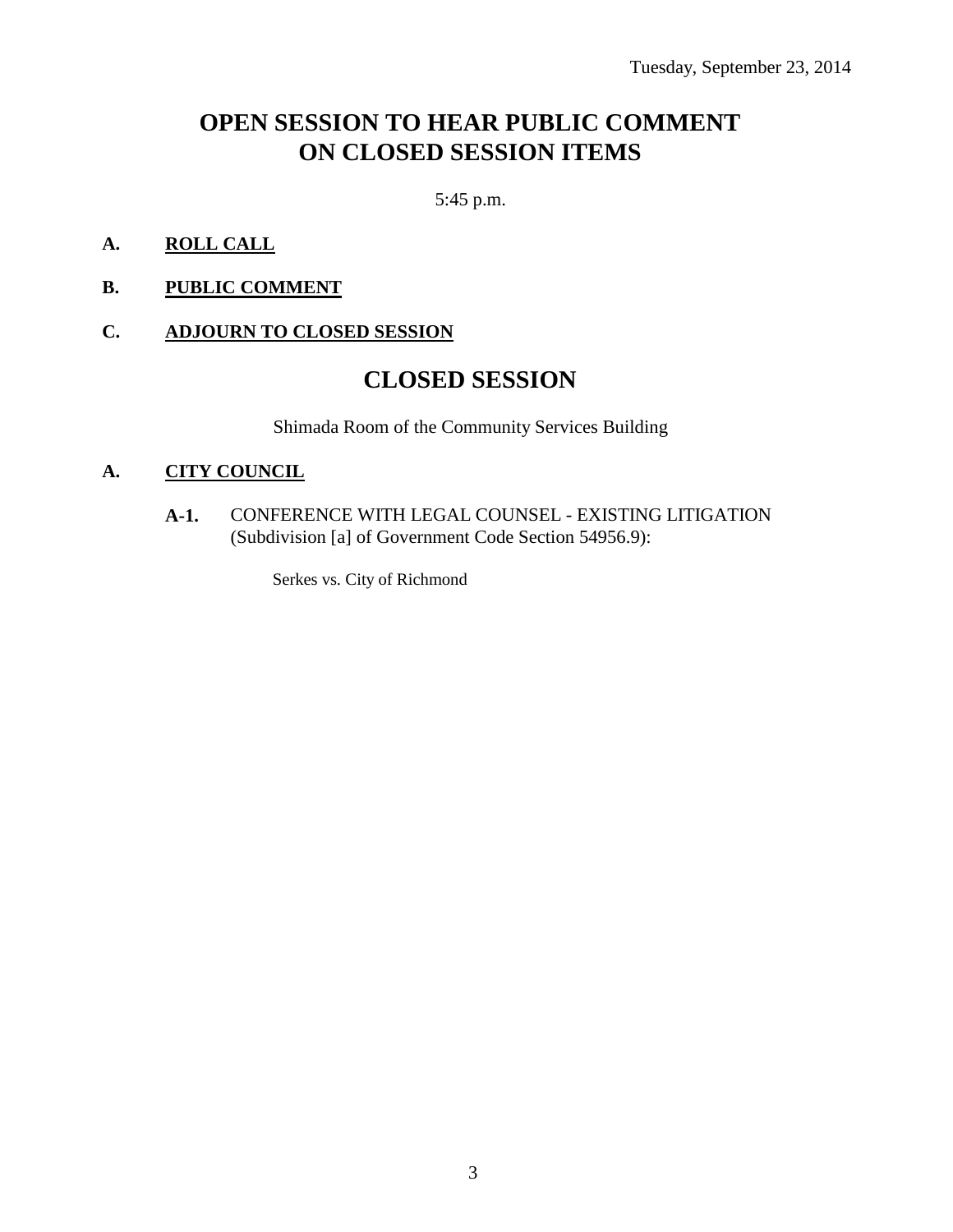### **OPEN SESSION TO HEAR PUBLIC COMMENT ON CLOSED SESSION ITEMS**

5:45 p.m.

- **A. ROLL CALL**
- **B. PUBLIC COMMENT**

### **C. ADJOURN TO CLOSED SESSION**

### **CLOSED SESSION**

Shimada Room of the Community Services Building

### **A. CITY COUNCIL**

**A-1.** CONFERENCE WITH LEGAL COUNSEL - EXISTING LITIGATION (Subdivision [a] of Government Code Section 54956.9):

Serkes vs. City of Richmond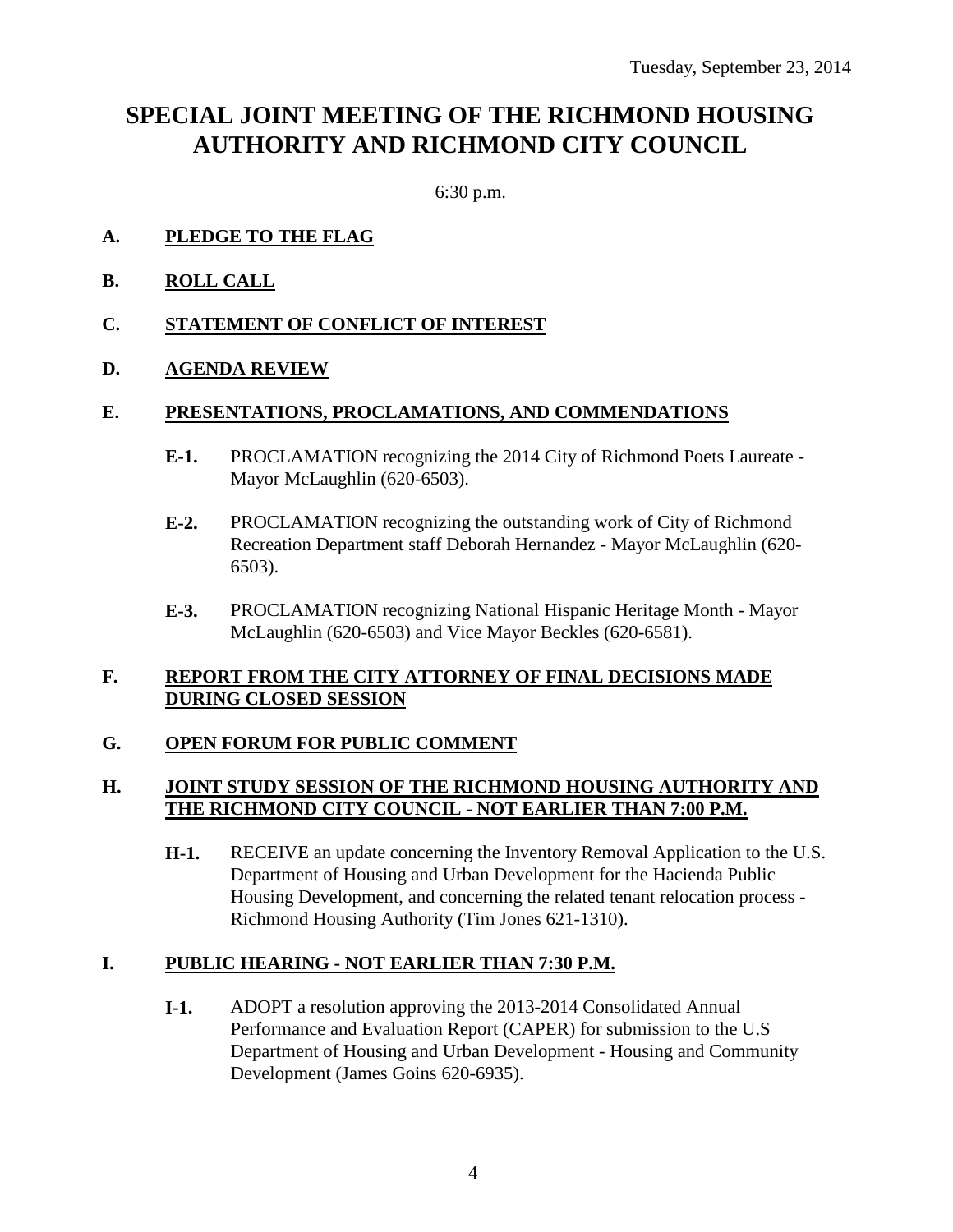## **SPECIAL JOINT MEETING OF THE RICHMOND HOUSING AUTHORITY AND RICHMOND CITY COUNCIL**

6:30 p.m.

- **A. PLEDGE TO THE FLAG**
- **B. ROLL CALL**
- **C. STATEMENT OF CONFLICT OF INTEREST**
- **D. AGENDA REVIEW**

#### **E. PRESENTATIONS, PROCLAMATIONS, AND COMMENDATIONS**

- **E-1.** PROCLAMATION recognizing the 2014 City of Richmond Poets Laureate Mayor McLaughlin (620-6503).
- **E-2.** PROCLAMATION recognizing the outstanding work of City of Richmond Recreation Department staff Deborah Hernandez - Mayor McLaughlin (620- 6503).
- **E-3.** PROCLAMATION recognizing National Hispanic Heritage Month Mayor McLaughlin (620-6503) and Vice Mayor Beckles (620-6581).

#### **F. REPORT FROM THE CITY ATTORNEY OF FINAL DECISIONS MADE DURING CLOSED SESSION**

### **G. OPEN FORUM FOR PUBLIC COMMENT**

### **H. JOINT STUDY SESSION OF THE RICHMOND HOUSING AUTHORITY AND THE RICHMOND CITY COUNCIL - NOT EARLIER THAN 7:00 P.M.**

**H-1.** RECEIVE an update concerning the Inventory Removal Application to the U.S. Department of Housing and Urban Development for the Hacienda Public Housing Development, and concerning the related tenant relocation process - Richmond Housing Authority (Tim Jones 621-1310).

### **I. PUBLIC HEARING - NOT EARLIER THAN 7:30 P.M.**

**I-1.** ADOPT a resolution approving the 2013-2014 Consolidated Annual Performance and Evaluation Report (CAPER) for submission to the U.S Department of Housing and Urban Development - Housing and Community Development (James Goins 620-6935).